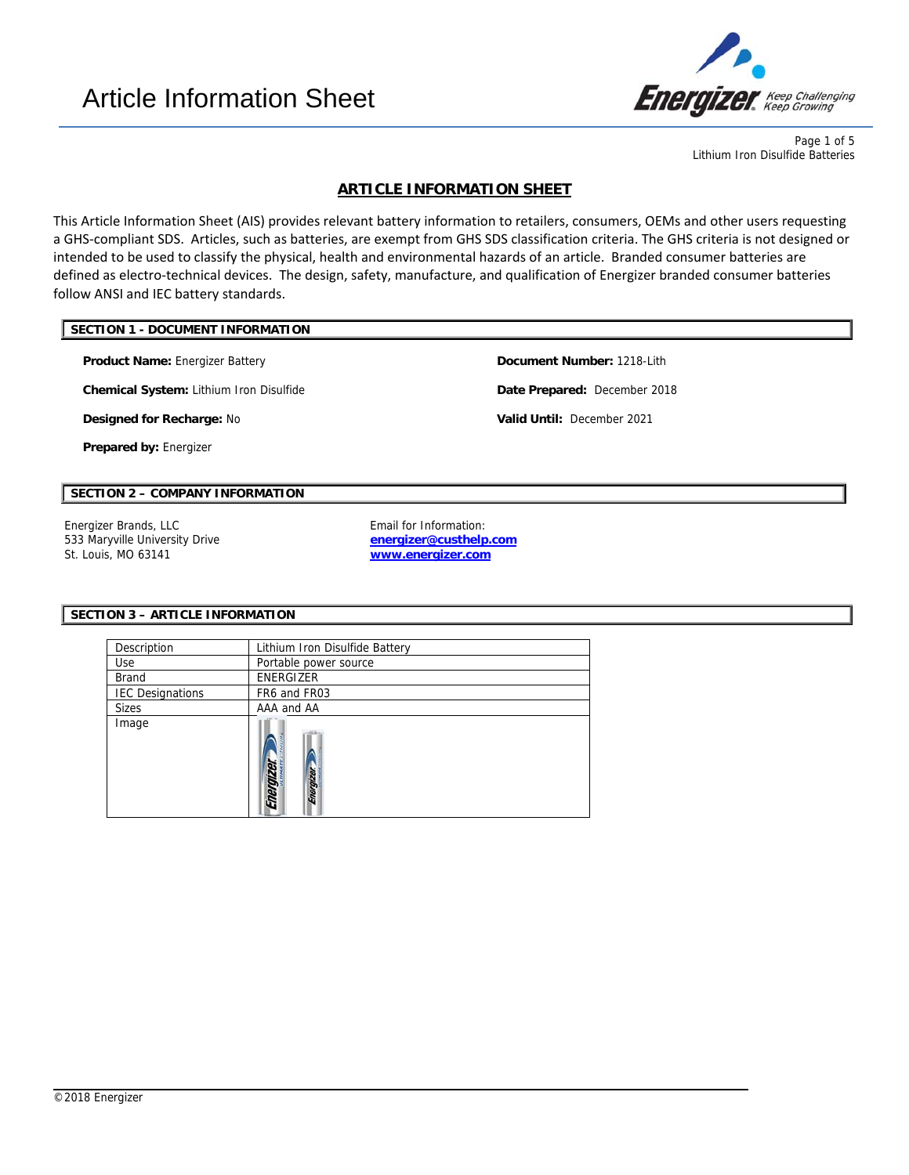

Page 1 of 5 Lithium Iron Disulfide Batteries

# **ARTICLE INFORMATION SHEET**

This Article Information Sheet (AIS) provides relevant battery information to retailers, consumers, OEMs and other users requesting a GHS‐compliant SDS. Articles, such as batteries, are exempt from GHS SDS classification criteria. The GHS criteria is not designed or intended to be used to classify the physical, health and environmental hazards of an article. Branded consumer batteries are defined as electro-technical devices. The design, safety, manufacture, and qualification of Energizer branded consumer batteries follow ANSI and IEC battery standards.

# **SECTION 1 - DOCUMENT INFORMATION**

**Product Name:** Energizer Battery **Document Number:** 1218-Lith

**Chemical System:** Lithium Iron Disulfide **Date Prepared:** December 2018

**Designed for Recharge:** No **Valid Until:** December 2021

**Prepared by:** Energizer

# **SECTION 2 – COMPANY INFORMATION**

Energizer Brands, LLC **Example 2018** Email for Information: 533 Maryville University Drive St. Louis, MO 63141

**energizer@custhelp.com www.energizer.com**

l

#### **SECTION 3 – ARTICLE INFORMATION**

| Description             | Lithium Iron Disulfide Battery |  |  |
|-------------------------|--------------------------------|--|--|
| Use                     | Portable power source          |  |  |
| <b>Brand</b>            | ENERGIZER                      |  |  |
| <b>IEC Designations</b> | FR6 and FR03                   |  |  |
| <b>Sizes</b>            | AAA and AA                     |  |  |
| Image                   | Energize<br>Energizer          |  |  |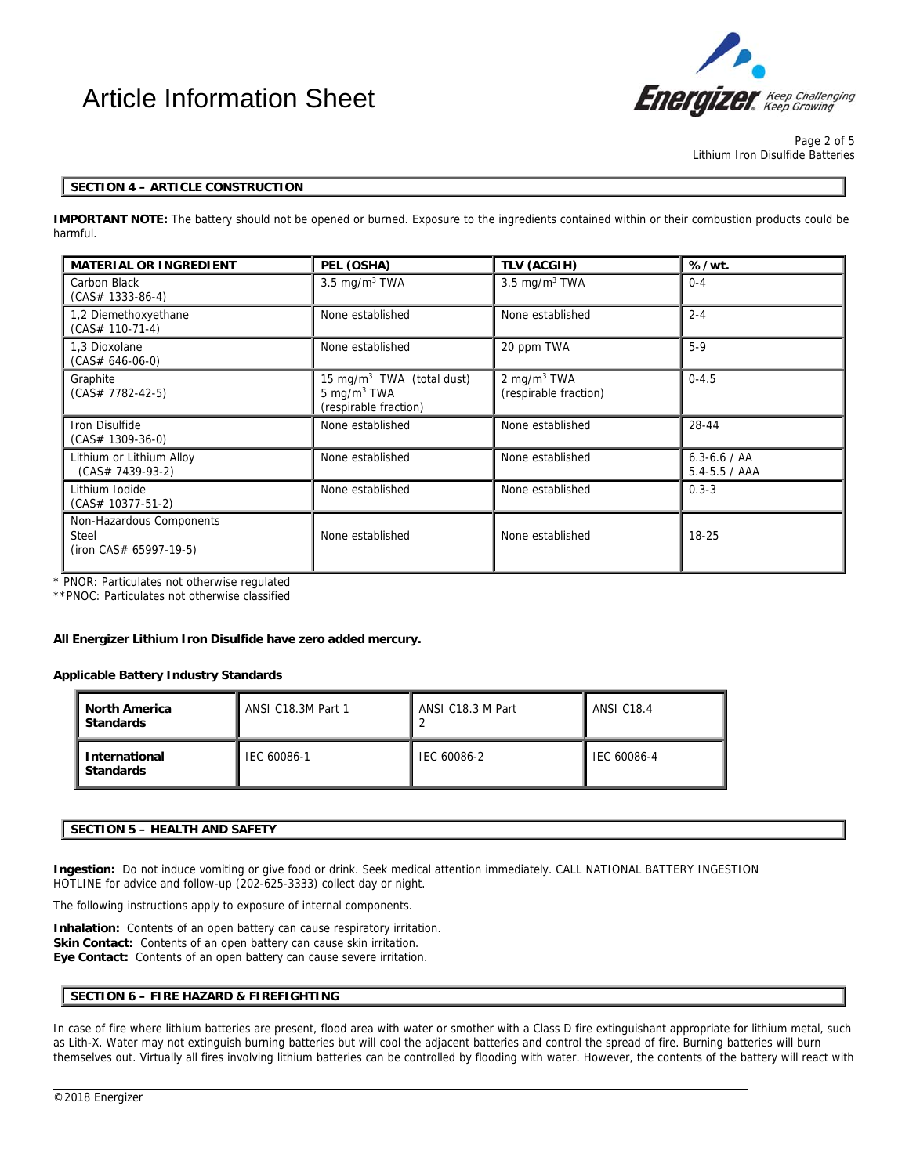# Article Information Sheet



Page 2 of 5 Lithium Iron Disulfide Batteries

## **SECTION 4 – ARTICLE CONSTRUCTION**

**IMPORTANT NOTE:** The battery should not be opened or burned. Exposure to the ingredients contained within or their combustion products could be harmful.

| <b>MATERIAL OR INGREDIENT</b>                                                     | PEL (OSHA)                                                                       | TLV (ACGIH)                             | %/wt.                                 |  |
|-----------------------------------------------------------------------------------|----------------------------------------------------------------------------------|-----------------------------------------|---------------------------------------|--|
| Carbon Black<br>$(CAS# 1333-86-4)$                                                | $3.5 \text{ mg/m}^3$ TWA                                                         | $3.5 \text{ mg/m}^3$ TWA                | $0 - 4$                               |  |
| 1,2 Diemethoxyethane<br>$(CAS# 110-71-4)$                                         | None established                                                                 | None established                        | $2 - 4$                               |  |
| 1,3 Dioxolane<br>$(CAS# 646-06-0)$                                                | None established                                                                 | 20 ppm TWA                              | $5-9$                                 |  |
| Graphite<br>$(CAS# 7782-42-5)$                                                    | 15 mg/m <sup>3</sup> TWA (total dust)<br>5 mg/m $3$ TWA<br>(respirable fraction) | 2 mg/m $3$ TWA<br>(respirable fraction) | $0 - 4.5$                             |  |
| Iron Disulfide<br>$(CAS# 1309-36-0)$                                              | None established                                                                 | None established                        | 28-44                                 |  |
| Lithium or Lithium Alloy<br>$(CAS# 7439-93-2)$                                    | None established                                                                 |                                         | $6.3 - 6.6 / AA$<br>$5.4 - 5.5 / AAA$ |  |
| Lithium Iodide<br>$(CAS# 10377-51-2)$                                             | None established                                                                 | None established                        | $0.3 - 3$                             |  |
| Non-Hazardous Components<br>Steel<br>None established<br>$(iron CAS# 65997-19-5)$ |                                                                                  | None established                        | $18 - 25$                             |  |

\* PNOR: Particulates not otherwise regulated

\*\*PNOC: Particulates not otherwise classified

#### **All Energizer Lithium Iron Disulfide have zero added mercury.**

## **Applicable Battery Industry Standards**

| I North America<br><b>I</b> Standards | ANSI C18.3M Part 1 | ANSI C18.3 M Part | <b>ANSI C18.4</b> |  |
|---------------------------------------|--------------------|-------------------|-------------------|--|
| I International<br><b>Standards</b>   | IEC 60086-1        | IEC 60086-2       | IEC 60086-4       |  |

#### **SECTION 5 – HEALTH AND SAFETY**

**Ingestion:** Do not induce vomiting or give food or drink. Seek medical attention immediately. CALL NATIONAL BATTERY INGESTION HOTLINE for advice and follow-up (202-625-3333) collect day or night.

The following instructions apply to exposure of internal components.

**Inhalation:** Contents of an open battery can cause respiratory irritation. **Skin Contact:** Contents of an open battery can cause skin irritation. **Eye Contact:** Contents of an open battery can cause severe irritation.

# **SECTION 6 – FIRE HAZARD & FIREFIGHTING**

In case of fire where lithium batteries are present, flood area with water or smother with a Class D fire extinguishant appropriate for lithium metal, such as Lith-X. Water may not extinguish burning batteries but will cool the adjacent batteries and control the spread of fire. Burning batteries will burn themselves out. Virtually all fires involving lithium batteries can be controlled by flooding with water. However, the contents of the battery will react with

l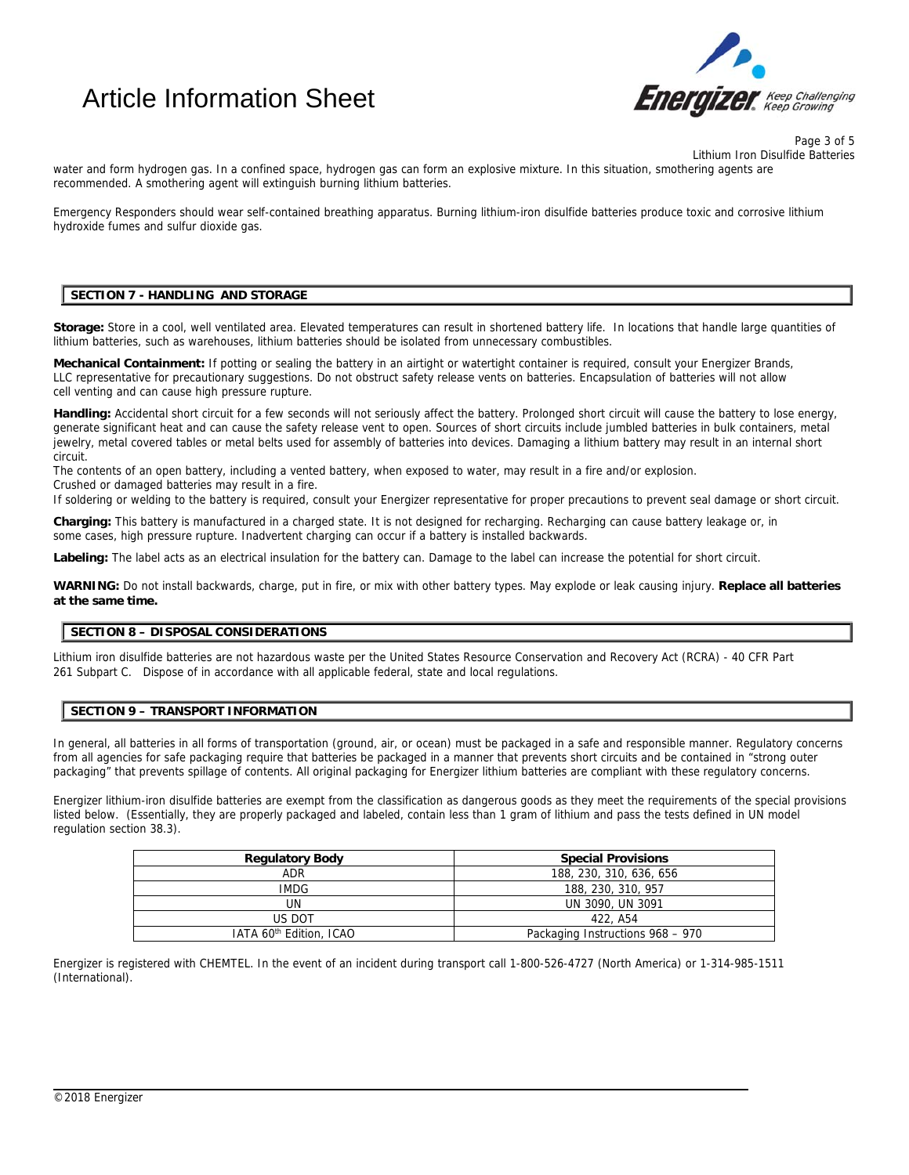# Article Information Sheet



Page 3 of 5 Lithium Iron Disulfide Batteries

water and form hydrogen gas. In a confined space, hydrogen gas can form an explosive mixture. In this situation, smothering agents are recommended. A smothering agent will extinguish burning lithium batteries.

Emergency Responders should wear self-contained breathing apparatus. Burning lithium-iron disulfide batteries produce toxic and corrosive lithium hydroxide fumes and sulfur dioxide gas.

# **SECTION 7 - HANDLING AND STORAGE**

**Storage:** Store in a cool, well ventilated area. Elevated temperatures can result in shortened battery life. In locations that handle large quantities of lithium batteries, such as warehouses, lithium batteries should be isolated from unnecessary combustibles.

Mechanical Containment: If potting or sealing the battery in an airtight or watertight container is required, consult your Energizer Brands, LLC representative for precautionary suggestions. Do not obstruct safety release vents on batteries. Encapsulation of batteries will not allow cell venting and can cause high pressure rupture.

Handling: Accidental short circuit for a few seconds will not seriously affect the battery. Prolonged short circuit will cause the battery to lose energy, generate significant heat and can cause the safety release vent to open. Sources of short circuits include jumbled batteries in bulk containers, metal jewelry, metal covered tables or metal belts used for assembly of batteries into devices. Damaging a lithium battery may result in an internal short circuit.

The contents of an open battery, including a vented battery, when exposed to water, may result in a fire and/or explosion.

Crushed or damaged batteries may result in a fire.

If soldering or welding to the battery is required, consult your Energizer representative for proper precautions to prevent seal damage or short circuit.

**Charging:** This battery is manufactured in a charged state. It is not designed for recharging. Recharging can cause battery leakage or, in some cases, high pressure rupture. Inadvertent charging can occur if a battery is installed backwards.

**Labeling:** The label acts as an electrical insulation for the battery can. Damage to the label can increase the potential for short circuit.

**WARNING:** Do not install backwards, charge, put in fire, or mix with other battery types. May explode or leak causing injury. **Replace all batteries at the same time.**

# **SECTION 8 – DISPOSAL CONSIDERATIONS**

Lithium iron disulfide batteries are not hazardous waste per the United States Resource Conservation and Recovery Act (RCRA) - 40 CFR Part 261 Subpart C. Dispose of in accordance with all applicable federal, state and local regulations.

### **SECTION 9 – TRANSPORT INFORMATION**

In general, all batteries in all forms of transportation (ground, air, or ocean) must be packaged in a safe and responsible manner. Regulatory concerns from all agencies for safe packaging require that batteries be packaged in a manner that prevents short circuits and be contained in "strong outer packaging" that prevents spillage of contents. All original packaging for Energizer lithium batteries are compliant with these regulatory concerns.

Energizer lithium-iron disulfide batteries are exempt from the classification as dangerous goods as they meet the requirements of the special provisions listed below. (Essentially, they are properly packaged and labeled, contain less than 1 gram of lithium and pass the tests defined in UN model regulation section 38.3).

| <b>Regulatory Body</b>              | <b>Special Provisions</b>        |  |  |
|-------------------------------------|----------------------------------|--|--|
| ADR                                 | 188, 230, 310, 636, 656          |  |  |
| <b>IMDG</b>                         | 188, 230, 310, 957               |  |  |
| UN                                  | UN 3090, UN 3091                 |  |  |
| US DOT                              | 422, A54                         |  |  |
| IATA 60 <sup>th</sup> Edition, ICAO | Packaging Instructions 968 - 970 |  |  |

l

Energizer is registered with CHEMTEL. In the event of an incident during transport call 1-800-526-4727 (North America) or 1-314-985-1511 (International).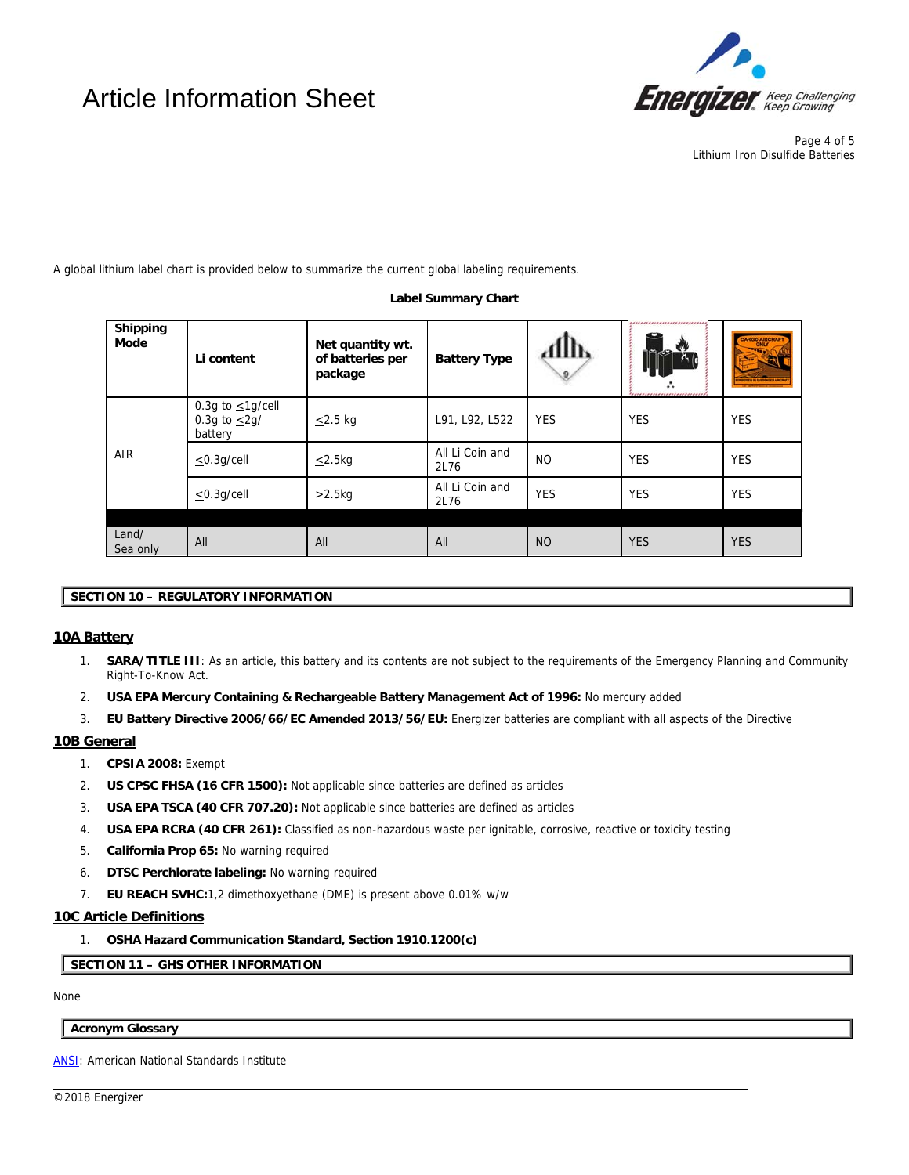# Article Information Sheet



Page 4 of 5 Lithium Iron Disulfide Batteries

A global lithium label chart is provided below to summarize the current global labeling requirements.

### **Label Summary Chart**

| Shipping<br>Mode  | Li content                                              | Net quantity wt.<br>of batteries per<br>package | <b>Battery Type</b>     | 4111b      | ,,,,,,,,,,,,,,,,,,,,,,,,,,,,,<br>دب<br>,,,,,,,,,,,,,,,,,,,,,,,,,,,,,, | CARGO AIRCRAFT |
|-------------------|---------------------------------------------------------|-------------------------------------------------|-------------------------|------------|-----------------------------------------------------------------------|----------------|
| AIR               | 0.3g to $\leq$ 1g/cell<br>0.3g to $\leq$ 2g/<br>battery | $\leq$ 2.5 kg                                   | L91, L92, L522          | <b>YES</b> | <b>YES</b>                                                            | <b>YES</b>     |
|                   | $<$ 0.3q/cell                                           | $\leq$ 2.5kg                                    | All Li Coin and<br>2L76 | <b>NO</b>  | <b>YES</b>                                                            | <b>YES</b>     |
|                   | $\leq$ 0.3g/cell                                        | $>2.5$ kg                                       | All Li Coin and<br>2L76 | <b>YES</b> | <b>YES</b>                                                            | <b>YES</b>     |
|                   |                                                         |                                                 |                         |            |                                                                       |                |
| Land/<br>Sea only | All                                                     | All                                             | All                     | <b>NO</b>  | <b>YES</b>                                                            | <b>YES</b>     |

# **SECTION 10 – REGULATORY INFORMATION**

# **10A Battery**

- 1. **SARA/TITLE III**: As an article, this battery and its contents are not subject to the requirements of the Emergency Planning and Community Right-To-Know Act.
- 2. **USA EPA Mercury Containing & Rechargeable Battery Management Act of 1996:** No mercury added
- 3. **EU Battery Directive 2006/66/EC Amended 2013/56/EU:** Energizer batteries are compliant with all aspects of the Directive

l

# **10B General**

- 1. **CPSIA 2008:** Exempt
- 2. **US CPSC FHSA (16 CFR 1500):** Not applicable since batteries are defined as articles
- 3. **USA EPA TSCA (40 CFR 707.20):** Not applicable since batteries are defined as articles
- 4. **USA EPA RCRA (40 CFR 261):** Classified as non-hazardous waste per ignitable, corrosive, reactive or toxicity testing
- 5. **California Prop 65:** No warning required
- 6. **DTSC Perchlorate labeling:** No warning required
- 7. **EU REACH SVHC:**1,2 dimethoxyethane (DME) is present above 0.01% w/w

## **10C Article Definitions**

1. **OSHA Hazard Communication Standard, Section 1910.1200(c)** 

**SECTION 11 – GHS OTHER INFORMATION**

None

## **Acronym Glossary**

ANSI: American National Standards Institute